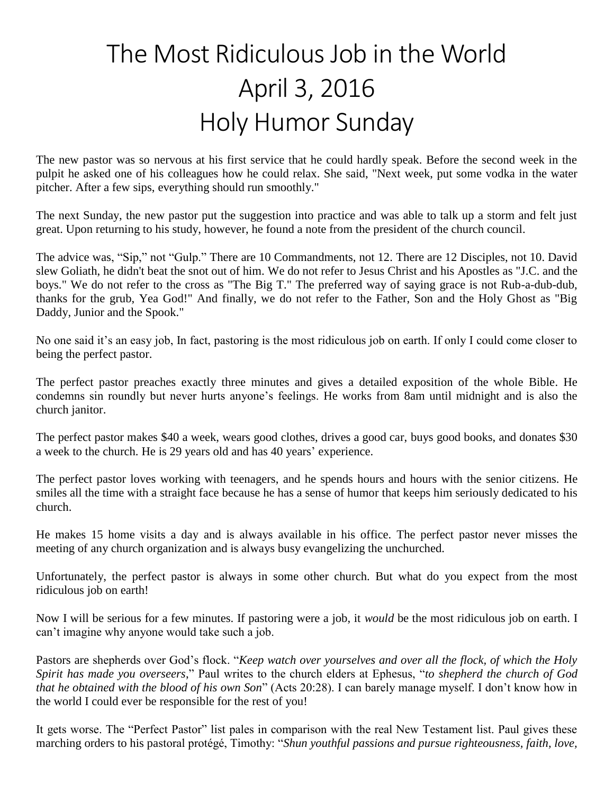## The Most Ridiculous Job in the World April 3, 2016 Holy Humor Sunday

The new pastor was so nervous at his first service that he could hardly speak. Before the second week in the pulpit he asked one of his colleagues how he could relax. She said, "Next week, put some vodka in the water pitcher. After a few sips, everything should run smoothly."

The next Sunday, the new pastor put the suggestion into practice and was able to talk up a storm and felt just great. Upon returning to his study, however, he found a note from the president of the church council.

The advice was, "Sip," not "Gulp." There are 10 Commandments, not 12. There are 12 Disciples, not 10. David slew Goliath, he didn't beat the snot out of him. We do not refer to Jesus Christ and his Apostles as "J.C. and the boys." We do not refer to the cross as "The Big T." The preferred way of saying grace is not Rub-a-dub-dub, thanks for the grub, Yea God!" And finally, we do not refer to the Father, Son and the Holy Ghost as "Big Daddy, Junior and the Spook."

No one said it's an easy job, In fact, pastoring is the most ridiculous job on earth. If only I could come closer to being the perfect pastor.

The perfect pastor preaches exactly three minutes and gives a detailed exposition of the whole Bible. He condemns sin roundly but never hurts anyone's feelings. He works from 8am until midnight and is also the church janitor.

The perfect pastor makes \$40 a week, wears good clothes, drives a good car, buys good books, and donates \$30 a week to the church. He is 29 years old and has 40 years' experience.

The perfect pastor loves working with teenagers, and he spends hours and hours with the senior citizens. He smiles all the time with a straight face because he has a sense of humor that keeps him seriously dedicated to his church.

He makes 15 home visits a day and is always available in his office. The perfect pastor never misses the meeting of any church organization and is always busy evangelizing the unchurched.

Unfortunately, the perfect pastor is always in some other church. But what do you expect from the most ridiculous job on earth!

Now I will be serious for a few minutes. If pastoring were a job, it *would* be the most ridiculous job on earth. I can't imagine why anyone would take such a job.

Pastors are shepherds over God's flock. "*Keep watch over yourselves and over all the flock, of which the Holy Spirit has made you overseers*," Paul writes to the church elders at Ephesus, "*to shepherd the church of God that he obtained with the blood of his own Son*" (Acts 20:28). I can barely manage myself. I don't know how in the world I could ever be responsible for the rest of you!

It gets worse. The "Perfect Pastor" list pales in comparison with the real New Testament list. Paul gives these marching orders to his pastoral protégé, Timothy: "*Shun youthful passions and pursue righteousness, faith, love,*